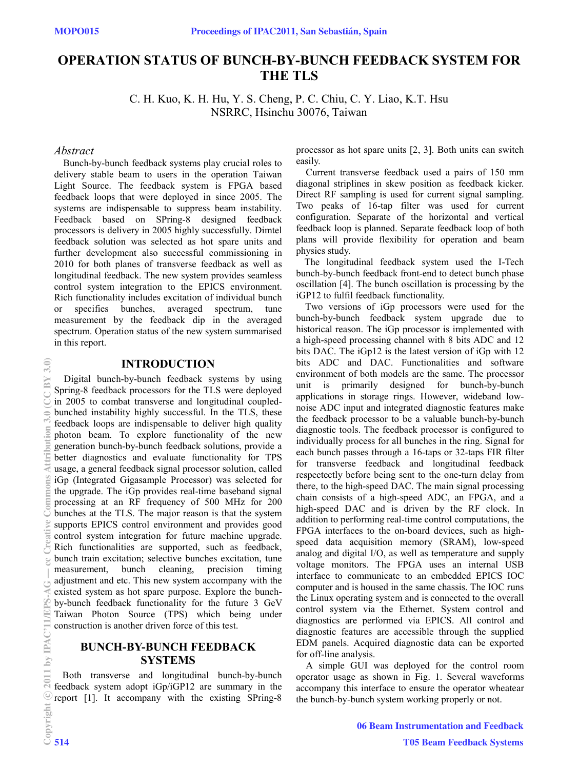# **OPERATIO1 STATUS OF BU1CH-BY-BU1CH FEEDBACK SYSTEM FOR THE TLS**

C. H. Kuo, K. H. Hu, Y. S. Cheng, P. C. Chiu, C. Y. Liao, K.T. Hsu NSRRC, Hsinchu 30076, Taiwan

## *Abstract*

Bunch-by-bunch feedback systems play crucial roles to delivery stable beam to users in the operation Taiwan Light Source. The feedback system is FPGA based feedback loops that were deployed in since 2005. The systems are indispensable to suppress beam instability. Feedback based on SPring-8 designed feedback processors is delivery in 2005 highly successfully. Dimtel feedback solution was selected as hot spare units and further development also successful commissioning in 2010 for both planes of transverse feedback as well as longitudinal feedback. The new system provides seamless control system integration to the EPICS environment. Rich functionality includes excitation of individual bunch<br>or specifies bunches, averaged spectrum, tune specifies bunches, averaged spectrum, tune measurement by the feedback dip in the averaged spectrum. Operation status of the new system summarised in this report.

## **I1TRODUCTIO1**

Digital bunch-by-bunch feedback systems by using Spring-8 feedback processors for the TLS were deployed in 2005 to combat transverse and longitudinal coupledbunched instability highly successful. In the TLS, these feedback loops are indispensable to deliver high quality photon beam. To explore functionality of the new generation bunch-by-bunch feedback solutions, provide a better diagnostics and evaluate functionality for TPS usage, a general feedback signal processor solution, called iGp (Integrated Gigasample Processor) was selected for the upgrade. The iGp provides real-time baseband signal processing at an RF frequency of 500 MHz for 200 bunches at the TLS. The major reason is that the system supports EPICS control environment and provides good control system integration for future machine upgrade. Rich functionalities are supported, such as feedback, bunch train excitation; selective bunches excitation, tune measurement, bunch cleaning, precision timing adjustment and etc. This new system accompany with the existed system as hot spare purpose. Explore the bunchby-bunch feedback functionality for the future 3 GeV Taiwan Photon Source (TPS) which being under construction is another driven force of this test.

# **BU1CH-BY-BU1CH FEEDBACK SYSTEMS**

Both transverse and longitudinal bunch-by-bunch feedback system adopt iGp/iGP12 are summary in the report [1]. It accompany with the existing SPring-8 processor as hot spare units [2, 3]. Both units can switch easily.

Current transverse feedback used a pairs of 150 mm diagonal striplines in skew position as feedback kicker. Direct RF sampling is used for current signal sampling. Two peaks of 16-tap filter was used for current configuration. Separate of the horizontal and vertical feedback loop is planned. Separate feedback loop of both plans will provide flexibility for operation and beam physics study.

The longitudinal feedback system used the I-Tech bunch-by-bunch feedback front-end to detect bunch phase oscillation [4]. The bunch oscillation is processing by the iGP12 to fulfil feedback functionality.

Two versions of iGp processors were used for the bunch-by-bunch feedback system upgrade due to historical reason. The iGp processor is implemented with a high-speed processing channel with 8 bits ADC and 12 bits DAC. The iGp12 is the latest version of iGp with 12 bits ADC and DAC. Functionalities and software environment of both models are the same. The processor unit is primarily designed for bunch-by-bunch applications in storage rings. However, wideband lownoise ADC input and integrated diagnostic features make the feedback processor to be a valuable bunch-by-bunch diagnostic tools. The feedback processor is configured to individually process for all bunches in the ring. Signal for each bunch passes through a 16-taps or 32-taps FIR filter for transverse feedback and longitudinal feedback respectectly before being sent to the one-turn delay from there, to the high-speed DAC. The main signal processing chain consists of a high-speed ADC, an FPGA, and a high-speed DAC and is driven by the RF clock. In addition to performing real-time control computations, the FPGA interfaces to the on-board devices, such as highspeed data acquisition memory (SRAM), low-speed analog and digital I/O, as well as temperature and supply voltage monitors. The FPGA uses an internal USB interface to communicate to an embedded EPICS IOC computer and is housed in the same chassis. The IOC runs the Linux operating system and is connected to the overall control system via the Ethernet. System control and diagnostics are performed via EPICS. All control and diagnostic features are accessible through the supplied EDM panels. Acquired diagnostic data can be exported for off-line analysis.

A simple GUI was deployed for the control room operator usage as shown in Fig. 1. Several waveforms accompany this interface to ensure the operator wheatear the bunch-by-bunch system working properly or not.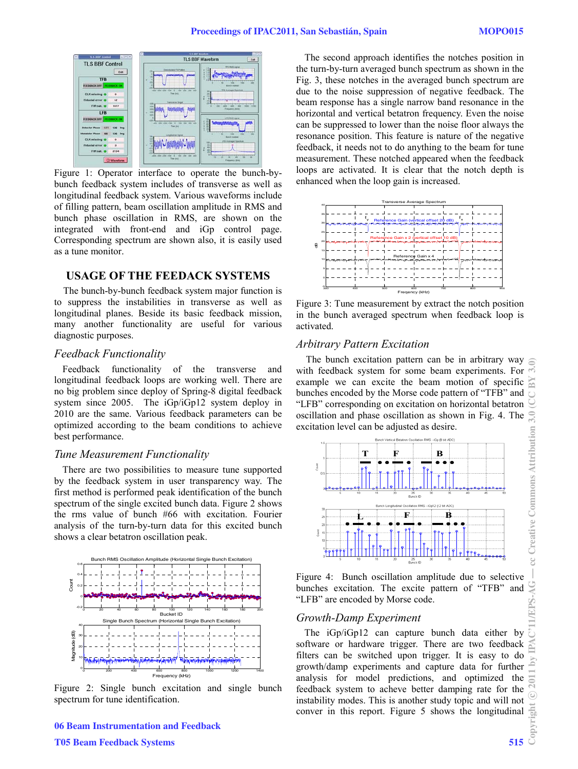

L Figure 1: Operator interface to operate the bunch-bybunch feedback system includes of transverse as well as longitudinal feedback system. Various waveforms include of filling pattern, beam oscillation amplitude in RMS and bunch phase oscillation in RMS, are shown on the integrated with front-end and iGp control page. Corresponding spectrum are shown also, it is easily used as a tune monitor.

## **USAGE OF THE FEEDACK SYSTEMS**

The bunch-by-bunch feedback system major function is to suppress the instabilities in transverse as well as longitudinal planes. Beside its basic feedback mission, many another functionality are useful for various diagnostic purposes.

#### *Feedback Functionality*

Feedback functionality of the transverse and longitudinal feedback loops are working well. There are no big problem since deploy of Spring-8 digital feedback system since 2005. The iGp/iGp12 system deploy in 2010 are the same. Various feedback parameters can be optimized according to the beam conditions to achieve best performance.

#### *Tune Measurement Functionality*

There are two possibilities to measure tune supported by the feedback system in user transparency way. The first method is performed peak identification of the bunch spectrum of the single excited bunch data. Figure 2 shows the rms value of bunch #66 with excitation. Fourier analysis of the turn-by-turn data for this excited bunch shows a clear betatron oscillation peak.



Figure 2: Single bunch excitation and single bunch spectrum for tune identification.

The second approach identifies the notches position in the turn-by-turn averaged bunch spectrum as shown in the Fig. 3, these notches in the averaged bunch spectrum are due to the noise suppression of negative feedback. The beam response has a single narrow band resonance in the horizontal and vertical betatron frequency. Even the noise can be suppressed to lower than the noise floor always the resonance position. This feature is nature of the negative feedback, it needs not to do anything to the beam for tune measurement. These notched appeared when the feedback loops are activated. It is clear that the notch depth is enhanced when the loop gain is increased.



Figure 3: Tune measurement by extract the notch position in the bunch averaged spectrum when feedback loop is activated.

## *Arbitrary Pattern Excitation*

The bunch excitation pattern can be in arbitrary way with feedback system for some beam experiments. For example we can excite the beam motion of specific  $\approx$ bunches encoded by the Morse code pattern of "TFB" and  $\overline{\bigcirc}$ "LFB" corresponding on excitation on horizontal betatron oscillation and phase oscillation as shown in Fig. 4. The excitation level can be adjusted as desire.



Figure 4: Bunch oscillation amplitude due to selective bunches excitation. The excite pattern of "TFB" and "LFB" are encoded by Morse code.

#### *Growth-Damp Experiment*

The iGp/iGp12 can capture bunch data either by software or hardware trigger. There are two feedback filters can be switched upon trigger. It is easy to do growth/damp experiments and capture data for further analysis for model predictions, and optimized the feedback system to acheve better damping rate for the instability modes. This is another study topic and will not conver in this report. Figure 5 shows the longitudinal